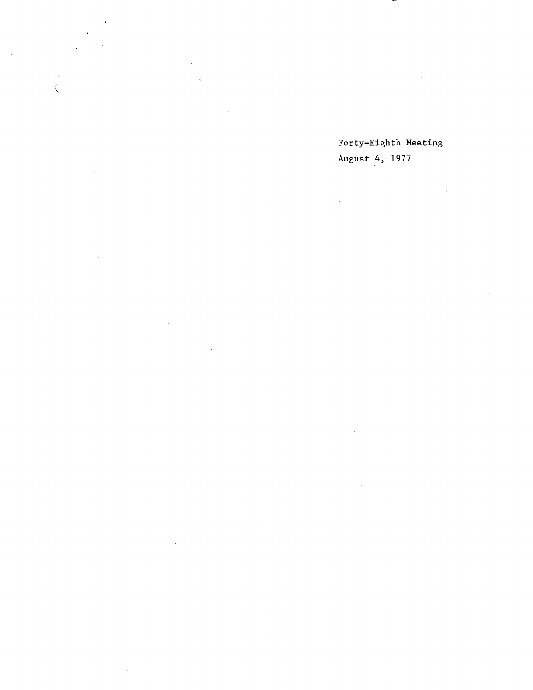Forty-Eighth Meeting August 4, 1977

V,

-

 $\frac{1}{2}$ 

 $\label{eq:2.1} \mathcal{L}_{\mathcal{A}}(\mathcal{A}) = \mathcal{L}_{\mathcal{A}}(\mathcal{A}) = \mathcal{L}_{\mathcal{A}}(\mathcal{A})$  $\sim 10$ 

 $\sqrt{2}$ 

 $\mathcal{A}^{\mathcal{A}}$ 

 $\mathcal{A}^{\mathcal{A}}$ 

 $\bar{\bar{z}}$ 

 $\mathcal{L}$  $\bar{\gamma}$ 

 $\sim$  $\mathcal{L}_{\mathrm{in}}$ 

 $\hat{\boldsymbol{\cdot}$ 

 $\mathcal{L}(\mathcal{A})$  and  $\mathcal{L}(\mathcal{A})$  $\mathcal{L}_{\text{max}}$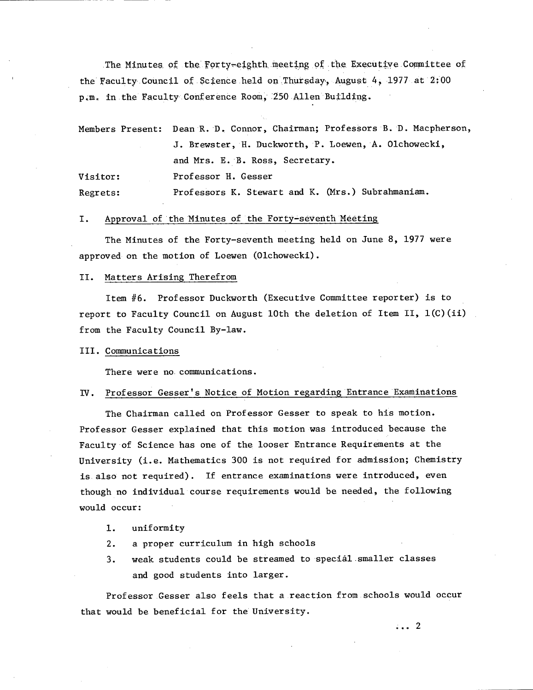The Minutes of the Forty-eighth meeting of the Executive Committee of the Faculty Council of Science held on Thursday, August 4, 1977 at 2:00 p.m. in the Faculty Conference Room, 250 Allen Building.

|          | Members Present: Dean R. D. Connor, Chairman; Professors B. D. Macpherson, |  |  |  |  |  |
|----------|----------------------------------------------------------------------------|--|--|--|--|--|
|          | J. Brewster, H. Duckworth, P. Loewen, A. Olchowecki,                       |  |  |  |  |  |
|          | and Mrs. E. B. Ross, Secretary.                                            |  |  |  |  |  |
| Visitor: | Professor H. Gesser                                                        |  |  |  |  |  |
| Regrets: | Professors K. Stewart and K. (Mrs.) Subrahmaniam.                          |  |  |  |  |  |

#### I. Approval of the Minutes of the Forty-seventh Meeting

The Minutes of the Forty-seventh meeting held on June 8, 1977 were approved on the motion of Loewen (Olchowecki).

#### II. Matters Arising Therefrom

Item #6. Professor Duckworth (Executive Committee reporter) is to report to Faculty Council on August 10th the deletion of Item II, l(C)(ii) from the Faculty Council By-law.

#### III. Communications

There were no. communications.

## Professor Gesser's Notice of Motion regarding Entrance Examinations

The Chairman called on Professor Gesser to speak to his motion. Professor Gesser explained that this motion was introduced because the Faculty of Science has one of the looser Entrance Requirements at the University (i.e. Mathematics 300 is not required for admission; Chemistry is. also not required). If entrance examinations were introduced, even though no individual course requirements would be needed, the following would occur:

- 1. uniformity
- $2.$ a proper curriculum in high schools
- weak students could be streamed to special .smaller classes  $3.$ and good students into larger.

Professor Gesser also feels that a reaction from.schools would occur that would be beneficial for the University.

 $\ldots$  2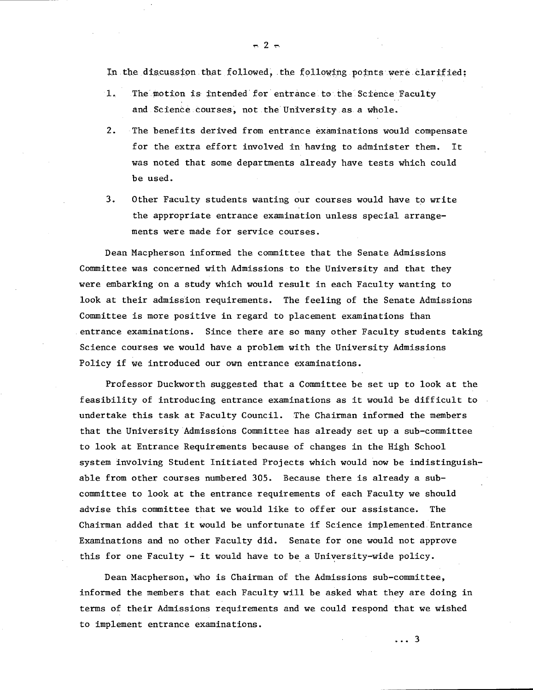In the discussion that followed, the following points were clarified:

- $1.$ The motion is intended for entrance. to the Science Faculty and Science courses, not the University as a whole.
- $2.$ The benefits derived from entrance examinations would compensate for the extra effort involved in having to administer them. It was noted that some departments already have tests which could be used.
- $3.$ Other Faculty students wanting our courses would have to write the appropriate entrance examination unless special arrangements were made for service courses.

Dean Macpherson informed the committee that the Senate Admissions Committee was concerned with Admissions to the University and that they were embarking on a study which would result in each Faculty wanting to look at their admission requirements. The feeling of the Senate Admissions Committee is more positive in regard to placement examinations than entrance examinations. Since there are so many other Faculty students taking Science courses we would have a problem with the University Admissions Policy if we introduced our own entrance examinations.

Professor Duckworth suggested that a Committee be set up to look at the feasibility of introducing entrance examinations as it would be difficult to undertake this task at Faculty Council. The Chairman informed the members that the University Admissions Committee has already set up a sub-committee to look at Entrance Requirements because of changes in the High School system Involving Student Initiated Projects which would now be indistinguishable from other courses numbered 305. Because there is already a subcommittee to look at the entrance requirements of each Faculty we should advise this committee that we would like to offer our assistance. The Chairman added that it would be unfortunate if Science implemented Entrance Examinations and no other Faculty did. Senate for one would not approve this for one Faculty - it would have to be a University-wide policy.

Dean Macpherson, who is Chairman of the Admissions sub-committee, informed the members that each Faculty will be asked what they are doing in terms of their Admissions requirements and we could respond that we wished to implement entrance examinations.

 $\approx$  2  $\approx$ 

 $\ldots$  3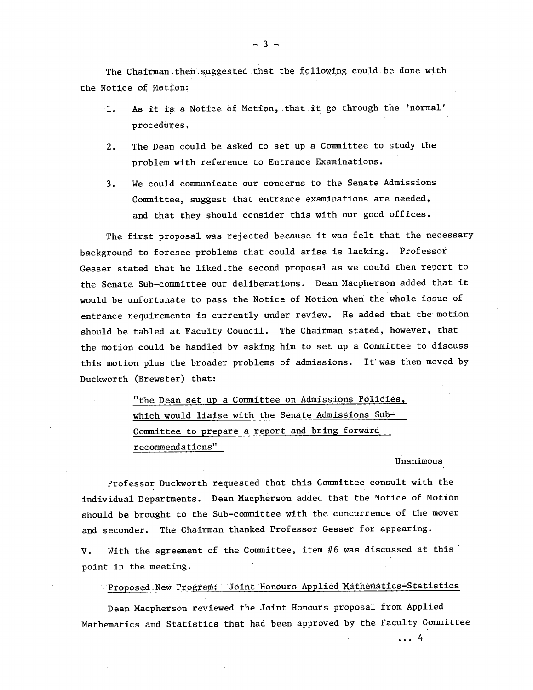The Chairman then suggested that the following could be done with the Notice of Motion;

- As it is a Notice of Motion, that it go through the 'normal'  $1.$ procedures
- $2.$ The Dean could be asked to set up a Committee to study the problem with reference to Entrance Examinations.
- We could communicate our concerns to the Senate Admissions  $3.$ Committee, suggest that entrance examinations are needed, and that they should consider this with our good offices.

The first proposal was rejected because it was felt that the necessary background to foresee problems that could arise is lacking. Professor Gesser stated that he liked.the second proposal as we could then report to the Senate Sub-committee our deliberations. Dean Macpherson added that it would be unfortunate to pass the Notice of Motion when the whole issue of entrance requirements is currently under review. He added that the motion should be tabled at Faculty Council. The Chairman stated, however, that the motion could be handled by asking him to set up a Committee to discuss this motion plus the broader problems of admissions. It was then moved by Duckworth (Brewster) that:

> "the Dean set up a Committee on Admissions Policies, which would liaise with the Senate Admissions Sub-Committee to prepare a report and bring forward recommendations"

#### Unanimous

 $\ldots$  4

Professor Duckworth requested that this Committee consult with the individual Departments. Dean Macpherson added that the Notice of Motion should be brought to the Sub-committee with the concurrence of the mover and seconder. The Chairman thanked Professor Gesser for appearing.

V. With the agreement of the Committee, item #6 was discussed at this ' point in the meeting.

Proposed New Program: Joint Honours Applied Mathematics-Statistics

Dean Macpherson reviewed the Joint Honours proposal from Applied Mathematics and Statistics that had been approved by the Faculty Committee

 $-3$   $-$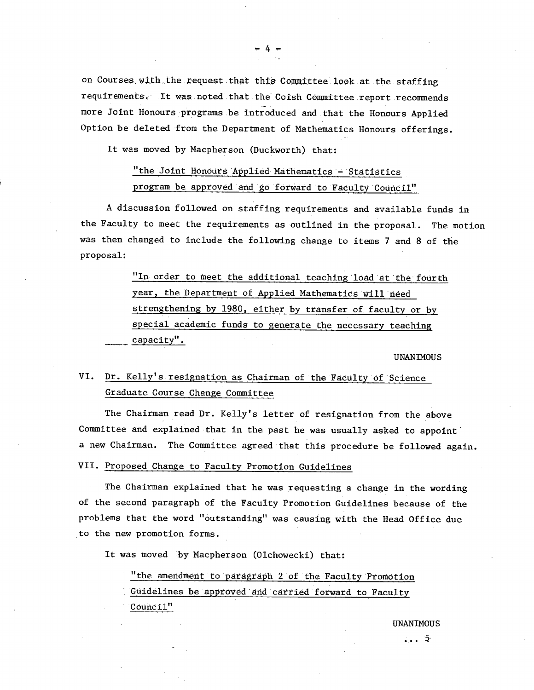on Courses with the request that this Committee look at the staffing requirements. It was noted that the Coish Committee report recommends more Joint Honours programs be introduced and that the Honours Applied Option be deleted from the Department of Mathematics Honours offerings.

It was moved by Macpherson (Duckworth) that:

## "the JOint Honours Applied Mäthématics - Statistics program be approved and go forward to Faculty Council"

A discussion followed on staffing requirements and available funds in the Faculty to meet the requirements as outlined in the proposal. The motion was then changed to include the following change to items 7 and 8 of the proposal:

> "In order to meet the additional teaching load at the fourth year, the Department of Applied Mathematics will need strengthening by 1980, either by transfer of faculty or by special academic funds to generate the necessary teaching capacity".

> > UNANIMOUS

#### Dr. Kelly's resignation as Chairman of the Faculty of Science VI. Graduate Course Change Committee

The Chairman read Dr. Kelly's letter of resignation from the above Committee and explained that in the past he was usually asked to appoint a new Chairman. The Committee agreed that this procedure be followed again.

VII. Proposed Change to Faculty Promotion Guidelines

The Chairman explained that he was requesting a change in the wording of the second paragraph of the Faculty Promotion Guidelines because of the problems that the word "outstanding" was causing with the Head Office due to the new promotion forms.

It was moved by Macpherson (Olchowecki) that:

"the amendment to paragraph 2 of the Faculty Promotion Guidelines be approved and carried forward to Faculty Council"

**UNANIMOUS** 

 $-4 -$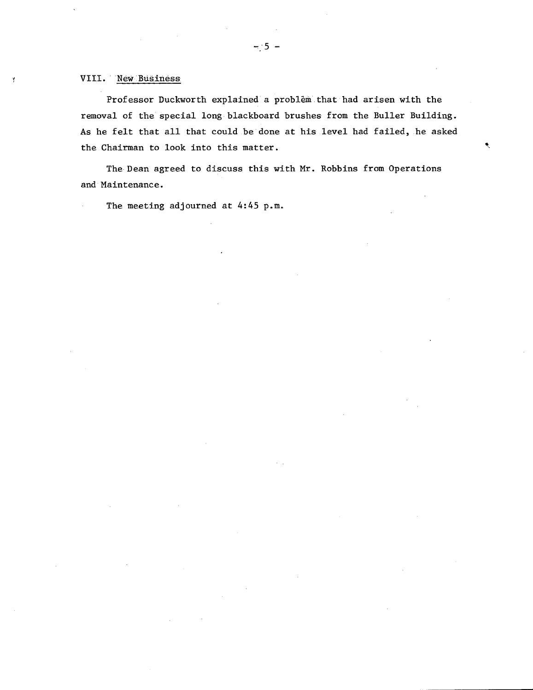### VIII. Néw Businéss

Y

Professor Duckworth explained a problem, that had arisen with the removal of the special long blackboard brushes from the Buller Building. As he felt that all that could be done at his level had failed, he asked the Chairman to look into this matter.

٠

The Dean agreed to discuss this with Mr. Robbins from Operations and Maintenance.

The meeting adjourned at 4:45 p.m.